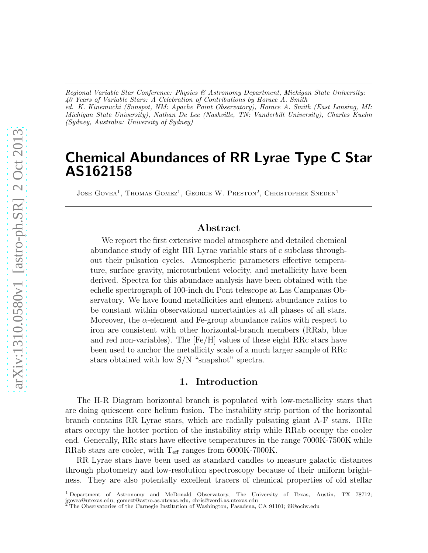*Regional Variable Star Conference: Physics & Astronomy Department, Michigan State University: 40 Years of Variable Stars: A Celebration of Contributions by Horace A. Smith ed. K. Kinemuchi (Sunspot, NM: Apache Point Observatory), Horace A. Smith (East Lansing, MI: Michigan State University), Nathan De Lee (Nashville, TN: Vanderbilt University), Charles Kuehn (Sydney, Australia: University of Sydney)*

# Chemical Abundances of RR Lyrae Type C Star AS162158

JOSE GOVEA<sup>1</sup>, THOMAS GOMEZ<sup>1</sup>, GEORGE W. PRESTON<sup>2</sup>, CHRISTOPHER SNEDEN<sup>1</sup>

## Abstract

We report the first extensive model atmosphere and detailed chemical abundance study of eight RR Lyrae variable stars of c subclass throughout their pulsation cycles. Atmospheric parameters effective temperature, surface gravity, microturbulent velocity, and metallicity have been derived. Spectra for this abundace analysis have been obtained with the echelle spectrograph of 100-inch du Pont telescope at Las Campanas Observatory. We have found metallicities and element abundance ratios to be constant within observational uncertainties at all phases of all stars. Moreover, the  $\alpha$ -element and Fe-group abundance ratios with respect to iron are consistent with other horizontal-branch members (RRab, blue and red non-variables). The [Fe/H] values of these eight RRc stars have been used to anchor the metallicity scale of a much larger sample of RRc stars obtained with low S/N "snapshot" spectra.

## 1. Introduction

The H-R Diagram horizontal branch is populated with low-metallicity stars that are doing quiescent core helium fusion. The instability strip portion of the horizontal branch contains RR Lyrae stars, which are radially pulsating giant A-F stars. RRc stars occupy the hotter portion of the instability strip while RRab occupy the cooler end. Generally, RRc stars have effective temperatures in the range 7000K-7500K while RRab stars are cooler, with  $T_{\text{eff}}$  ranges from 6000K-7000K.

RR Lyrae stars have been used as standard candles to measure galactic distances through photometry and low-resolution spectroscopy because of their uniform brightness. They are also potentally excellent tracers of chemical properties of old stellar

<sup>1</sup> Department of Astronomy and McDonald Observatory, The University of Texas, Austin, TX 78712; jgovea@utexas.edu, gomezt@astro.as.utexas.edu, chris@verdi.as.utexas.edu <sup>2</sup> The Observatories of the Carnegie Institution of Washington, Pasadena, CA 91101; iii@ociw.edu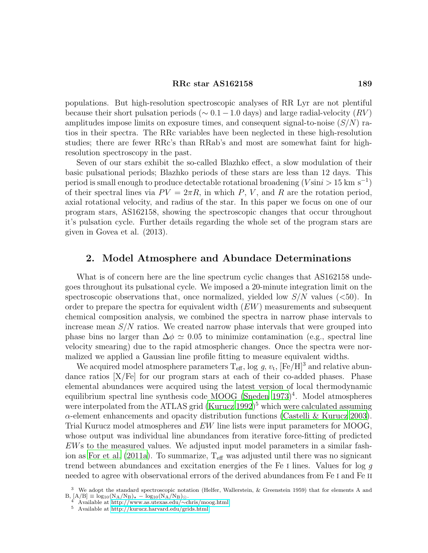#### RRc star AS162158 189

populations. But high-resolution spectroscopic analyses of RR Lyr are not plentiful because their short pulsation periods ( $\sim 0.1-1.0$  days) and large radial-velocity (RV) amplitudes impose limits on exposure times, and consequent signal-to-noise  $(S/N)$  ratios in their spectra. The RRc variables have been neglected in these high-resolution studies; there are fewer RRc's than RRab's and most are somewhat faint for highresolution spectroscopy in the past.

Seven of our stars exhibit the so-called Blazhko effect, a slow modulation of their basic pulsational periods; Blazhko periods of these stars are less than 12 days. This period is small enough to produce detectable rotational broadening  $(V \sin i > 15 \text{ km s}^{-1})$ of their spectral lines via  $PV = 2\pi R$ , in which P, V, and R are the rotation period, axial rotational velocity, and radius of the star. In this paper we focus on one of our program stars, AS162158, showing the spectroscopic changes that occur throughout it's pulsation cycle. Further details regarding the whole set of the program stars are given in Govea et al. (2013).

### 2. Model Atmosphere and Abundace Determinations

What is of concern here are the line spectrum cyclic changes that AS162158 undegoes throughout its pulsational cycle. We imposed a 20-minute integration limit on the spectroscopic observations that, once normalized, yielded low  $S/N$  values ( $\lt 50$ ). In order to prepare the spectra for equivalent width  $(EW)$  measurements and subsequent chemical composition analysis, we combined the spectra in narrow phase intervals to increase mean  $S/N$  ratios. We created narrow phase intervals that were grouped into phase bins no larger than  $\Delta \phi \simeq 0.05$  to minimize contamination (e.g., spectral line velocity smearing) due to the rapid atmospheric changes. Once the spectra were normalized we applied a Gaussian line profile fitting to measure equivalent widths.

We acquired model atmosphere parameters  $T_{\text{eff}}$ , log g,  $v_t$ ,  $[Fe/H]^3$  and relative abundance ratios  $[X/Fe]$  for our program stars at each of their co-added phases. Phase elemental abundances were acquired using the latest version of local thermodynamic equilibrium spectral line synthesis code MOOG (Sneden  $1973)^4$ . Model atmospheres were interpolated from the ATLAS grid  $(Kurucz 1992)^5$  which were calculated assuming α-element enhancements and opacity distribution functions [\(Castelli & Kurucz 2003\)](#page-4-2). Trial Kurucz model atmospheres and EW line lists were input parameters for MOOG, whose output was individual line abundances from iterative force-fitting of predicted EWs to the measured values. We adjusted input model parameters in a similar fash-ion as [For et al. \(2011a\)](#page-4-3). To summarize,  $T_{\text{eff}}$  was adjusted until there was no signicant trend between abundances and excitation energies of the Fe I lines. Values for log g needed to agree with observational errors of the derived abundances from Fe I and Fe II

<sup>3</sup> We adopt the standard spectroscopic notation (Helfer, Wallerstein, & Greenstein 1959) that for elements A and  $B, [A/B] \equiv \log_{10}(N_A/N_B)_\star - \log_{10}(N_A/N_B)_\odot.$ 

<sup>4</sup> Available at [http://www.as.utexas.edu/](http://www.as.utexas.edu/~chris/moog.html)∼chris/moog.html

<sup>5</sup> Available at<http://kurucz.harvard.edu/grids.html>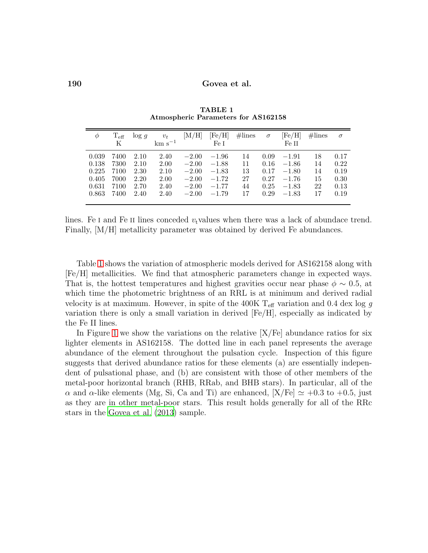<span id="page-2-0"></span>

| Φ     | $\rm T_{eff}$ | log q | $v_t$       | $\rm [M/H]$ | $[{\rm Fe/H}]$ | $\#\text{lines}$ | $\sigma$ | $[{\rm Fe/H}]$ | $\#\text{lines}$ | $\sigma$ |
|-------|---------------|-------|-------------|-------------|----------------|------------------|----------|----------------|------------------|----------|
|       | K             |       | $km s^{-1}$ |             | Fe L           |                  |          | Fe H           |                  |          |
| 0.039 | 7400          | 2.10  | 2.40        | $-2.00$     | $-1.96$        | 14               | 0.09     | $-1.91$        | 18               | 0.17     |
| 0.138 | 7300          | 2.10  | 2.00        | $-2.00$     | $-1.88$        | 11               | 0.16     | $-1.86$        | 14               | 0.22     |
| 0.225 | 7100          | 2.30  | 2.10        | $-2.00$     | $-1.83$        | 13               | 0.17     | $-1.80$        | 14               | 0.19     |
| 0.405 | 7000          | 2.20  | 2.00        | $-2.00$     | $-1.72$        | 27               | 0.27     | $-1.76$        | 15               | 0.30     |
| 0.631 | 7100          | 2.70  | 2.40        | $-2.00$     | $-1.77$        | 44               | 0.25     | $-1.83$        | 22               | 0.13     |
| 0.863 | 7400          | 2.40  | 2.40        | $-2.00$     | $-1.79$        | 17               | 0.29     | $-1.83$        | 17               | 0.19     |

TABLE 1 Atmospheric Parameters for AS162158

lines. Fe I and Fe II lines conceded  $v<sub>t</sub>$  values when there was a lack of abundace trend. Finally, [M/H] metallicity parameter was obtained by derived Fe abundances.

Table [1](#page-2-0) shows the variation of atmospheric models derived for AS162158 along with [Fe/H] metallicities. We find that atmospheric parameters change in expected ways. That is, the hottest temperatures and highest gravities occur near phase  $\phi \sim 0.5$ , at which time the photometric brightness of an RRL is at minimum and derived radial velocity is at maximum. However, in spite of the 400K  $T_{\text{eff}}$  variation and 0.4 dex log g variation there is only a small variation in derived [Fe/H], especially as indicated by the Fe II lines.

In Figure [1](#page-3-0) we show the variations on the relative  $[X/Fe]$  abundance ratios for six lighter elements in AS162158. The dotted line in each panel represents the average abundance of the element throughout the pulsation cycle. Inspection of this figure suggests that derived abundance ratios for these elements (a) are essentially independent of pulsational phase, and (b) are consistent with those of other members of the metal-poor horizontal branch (RHB, RRab, and BHB stars). In particular, all of the  $\alpha$  and  $\alpha$ -like elements (Mg, Si, Ca and Ti) are enhanced,  $[X/Fe] \simeq +0.3$  to  $+0.5$ , just as they are in other metal-poor stars. This result holds generally for all of the RRc stars in the [Govea et al. \(2013\)](#page-4-4) sample.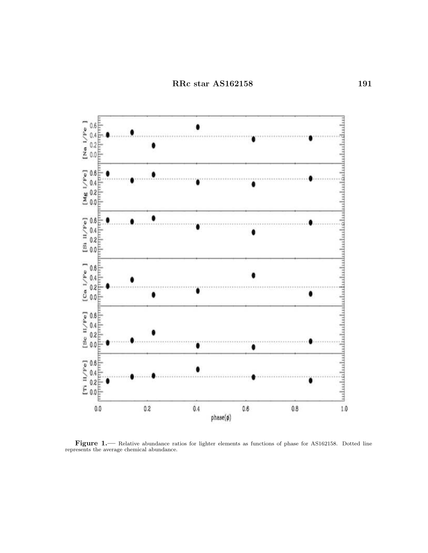

<span id="page-3-0"></span>Figure 1.— Relative abundance ratios for lighter elements as functions of phase for AS162158. Dotted line represents the average chemical abundance.